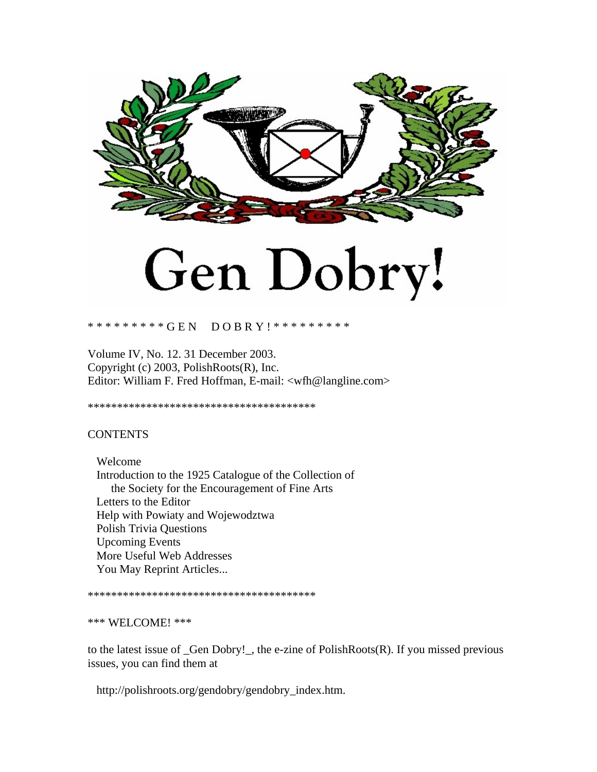

# Gen Dobry!

#### \* \* \* \* \* \* \* \* \* G E N D O B R Y ! \* \* \* \* \* \* \* \* \* \* \*

Volume IV, No. 12. 31 December 2003. Copyright (c) 2003, PolishRoots(R), Inc. Editor: William F. Fred Hoffman, E-mail: <wfh@langline.com>

\*\*\*\*\*\*\*\*\*\*\*\*\*\*\*\*\*\*\*\*\*\*\*\*\*\*\*\*\*\*\*\*\*\*\*\*\*\*\*

## **CONTENTS**

 Welcome Introduction to the 1925 Catalogue of the Collection of the Society for the Encouragement of Fine Arts Letters to the Editor Help with Powiaty and Wojewodztwa Polish Trivia Questions Upcoming Events More Useful Web Addresses You May Reprint Articles...

\*\*\*\*\*\*\*\*\*\*\*\*\*\*\*\*\*\*\*\*\*\*\*\*\*\*\*\*\*\*\*\*\*\*\*\*\*\*\*

### \*\*\* WELCOME! \*\*\*

to the latest issue of \_Gen Dobry!\_, the e-zine of PolishRoots(R). If you missed previous issues, you can find them at

http://polishroots.org/gendobry/gendobry\_index.htm.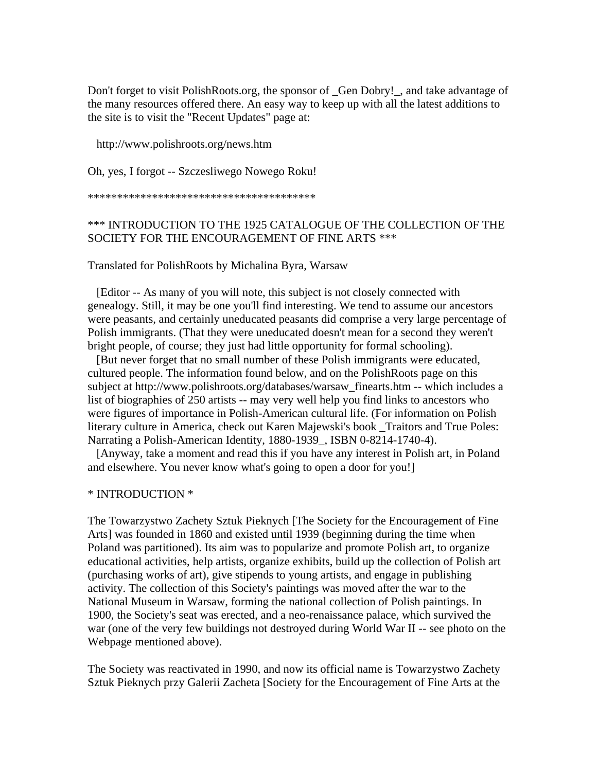Don't forget to visit PolishRoots.org, the sponsor of \_Gen Dobry!\_, and take advantage of the many resources offered there. An easy way to keep up with all the latest additions to the site is to visit the "Recent Updates" page at:

http://www.polishroots.org/news.htm

Oh, yes, I forgot -- Szczesliwego Nowego Roku!

\*\*\*\*\*\*\*\*\*\*\*\*\*\*\*\*\*\*\*\*\*\*\*\*\*\*\*\*\*\*\*\*\*\*\*\*\*\*\*

## \*\*\* INTRODUCTION TO THE 1925 CATALOGUE OF THE COLLECTION OF THE SOCIETY FOR THE ENCOURAGEMENT OF FINE ARTS \*\*\*

Translated for PolishRoots by Michalina Byra, Warsaw

 [Editor -- As many of you will note, this subject is not closely connected with genealogy. Still, it may be one you'll find interesting. We tend to assume our ancestors were peasants, and certainly uneducated peasants did comprise a very large percentage of Polish immigrants. (That they were uneducated doesn't mean for a second they weren't bright people, of course; they just had little opportunity for formal schooling).

 [But never forget that no small number of these Polish immigrants were educated, cultured people. The information found below, and on the PolishRoots page on this subject at http://www.polishroots.org/databases/warsaw\_finearts.htm -- which includes a list of biographies of 250 artists -- may very well help you find links to ancestors who were figures of importance in Polish-American cultural life. (For information on Polish literary culture in America, check out Karen Majewski's book \_Traitors and True Poles: Narrating a Polish-American Identity, 1880-1939, ISBN 0-8214-1740-4).

 [Anyway, take a moment and read this if you have any interest in Polish art, in Poland and elsewhere. You never know what's going to open a door for you!]

## \* INTRODUCTION \*

The Towarzystwo Zachety Sztuk Pieknych [The Society for the Encouragement of Fine Arts] was founded in 1860 and existed until 1939 (beginning during the time when Poland was partitioned). Its aim was to popularize and promote Polish art, to organize educational activities, help artists, organize exhibits, build up the collection of Polish art (purchasing works of art), give stipends to young artists, and engage in publishing activity. The collection of this Society's paintings was moved after the war to the National Museum in Warsaw, forming the national collection of Polish paintings. In 1900, the Society's seat was erected, and a neo-renaissance palace, which survived the war (one of the very few buildings not destroyed during World War II -- see photo on the Webpage mentioned above).

The Society was reactivated in 1990, and now its official name is Towarzystwo Zachety Sztuk Pieknych przy Galerii Zacheta [Society for the Encouragement of Fine Arts at the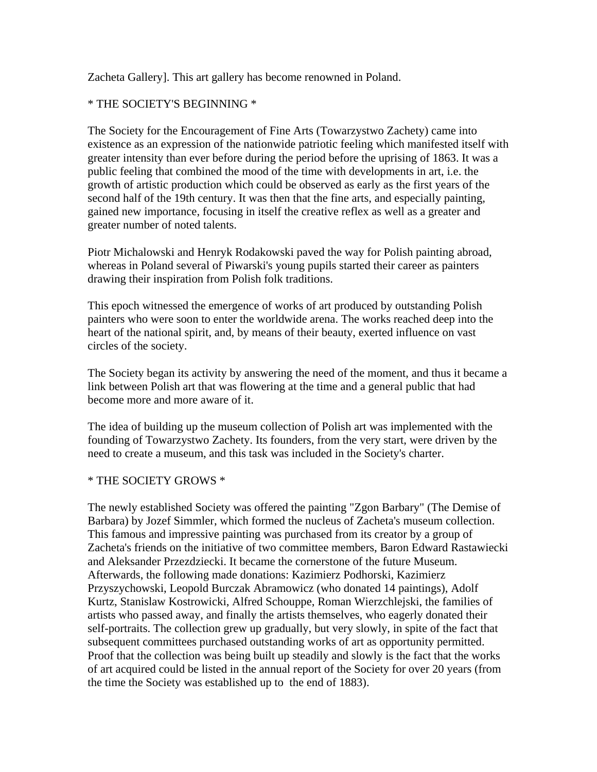Zacheta Gallery]. This art gallery has become renowned in Poland.

# \* THE SOCIETY'S BEGINNING \*

The Society for the Encouragement of Fine Arts (Towarzystwo Zachety) came into existence as an expression of the nationwide patriotic feeling which manifested itself with greater intensity than ever before during the period before the uprising of 1863. It was a public feeling that combined the mood of the time with developments in art, i.e. the growth of artistic production which could be observed as early as the first years of the second half of the 19th century. It was then that the fine arts, and especially painting, gained new importance, focusing in itself the creative reflex as well as a greater and greater number of noted talents.

Piotr Michalowski and Henryk Rodakowski paved the way for Polish painting abroad, whereas in Poland several of Piwarski's young pupils started their career as painters drawing their inspiration from Polish folk traditions.

This epoch witnessed the emergence of works of art produced by outstanding Polish painters who were soon to enter the worldwide arena. The works reached deep into the heart of the national spirit, and, by means of their beauty, exerted influence on vast circles of the society.

The Society began its activity by answering the need of the moment, and thus it became a link between Polish art that was flowering at the time and a general public that had become more and more aware of it.

The idea of building up the museum collection of Polish art was implemented with the founding of Towarzystwo Zachety. Its founders, from the very start, were driven by the need to create a museum, and this task was included in the Society's charter.

## \* THE SOCIETY GROWS \*

The newly established Society was offered the painting "Zgon Barbary" (The Demise of Barbara) by Jozef Simmler, which formed the nucleus of Zacheta's museum collection. This famous and impressive painting was purchased from its creator by a group of Zacheta's friends on the initiative of two committee members, Baron Edward Rastawiecki and Aleksander Przezdziecki. It became the cornerstone of the future Museum. Afterwards, the following made donations: Kazimierz Podhorski, Kazimierz Przyszychowski, Leopold Burczak Abramowicz (who donated 14 paintings), Adolf Kurtz, Stanislaw Kostrowicki, Alfred Schouppe, Roman Wierzchlejski, the families of artists who passed away, and finally the artists themselves, who eagerly donated their self-portraits. The collection grew up gradually, but very slowly, in spite of the fact that subsequent committees purchased outstanding works of art as opportunity permitted. Proof that the collection was being built up steadily and slowly is the fact that the works of art acquired could be listed in the annual report of the Society for over 20 years (from the time the Society was established up to the end of 1883).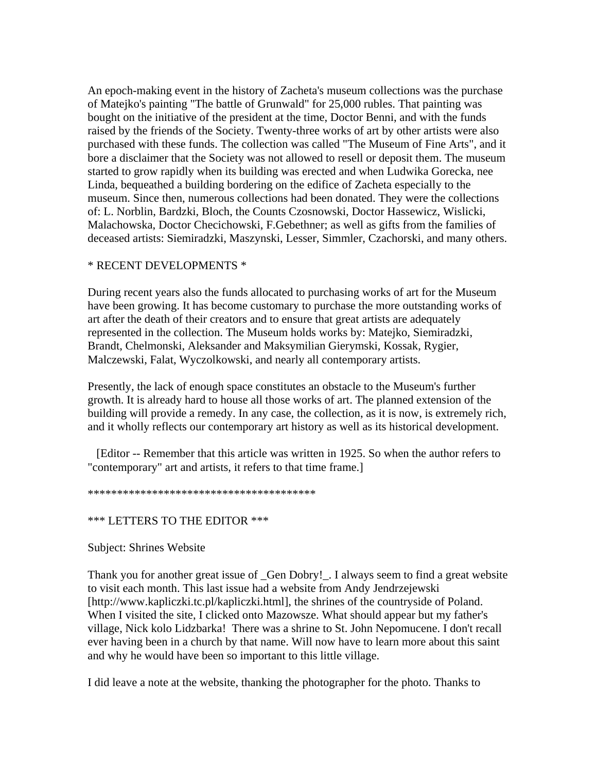An epoch-making event in the history of Zacheta's museum collections was the purchase of Matejko's painting "The battle of Grunwald" for 25,000 rubles. That painting was bought on the initiative of the president at the time, Doctor Benni, and with the funds raised by the friends of the Society. Twenty-three works of art by other artists were also purchased with these funds. The collection was called "The Museum of Fine Arts", and it bore a disclaimer that the Society was not allowed to resell or deposit them. The museum started to grow rapidly when its building was erected and when Ludwika Gorecka, nee Linda, bequeathed a building bordering on the edifice of Zacheta especially to the museum. Since then, numerous collections had been donated. They were the collections of: L. Norblin, Bardzki, Bloch, the Counts Czosnowski, Doctor Hassewicz, Wislicki, Malachowska, Doctor Checichowski, F.Gebethner; as well as gifts from the families of deceased artists: Siemiradzki, Maszynski, Lesser, Simmler, Czachorski, and many others.

## \* RECENT DEVELOPMENTS \*

During recent years also the funds allocated to purchasing works of art for the Museum have been growing. It has become customary to purchase the more outstanding works of art after the death of their creators and to ensure that great artists are adequately represented in the collection. The Museum holds works by: Matejko, Siemiradzki, Brandt, Chelmonski, Aleksander and Maksymilian Gierymski, Kossak, Rygier, Malczewski, Falat, Wyczolkowski, and nearly all contemporary artists.

Presently, the lack of enough space constitutes an obstacle to the Museum's further growth. It is already hard to house all those works of art. The planned extension of the building will provide a remedy. In any case, the collection, as it is now, is extremely rich, and it wholly reflects our contemporary art history as well as its historical development.

 [Editor -- Remember that this article was written in 1925. So when the author refers to "contemporary" art and artists, it refers to that time frame.]

\*\*\*\*\*\*\*\*\*\*\*\*\*\*\*\*\*\*\*\*\*\*\*\*\*\*\*\*\*\*\*\*\*\*\*\*\*\*\*

### \*\*\* LETTERS TO THE EDITOR \*\*\*

Subject: Shrines Website

Thank you for another great issue of \_Gen Dobry!\_. I always seem to find a great website to visit each month. This last issue had a website from Andy Jendrzejewski [http://www.kapliczki.tc.pl/kapliczki.html], the shrines of the countryside of Poland. When I visited the site, I clicked onto Mazowsze. What should appear but my father's village, Nick kolo Lidzbarka! There was a shrine to St. John Nepomucene. I don't recall ever having been in a church by that name. Will now have to learn more about this saint and why he would have been so important to this little village.

I did leave a note at the website, thanking the photographer for the photo. Thanks to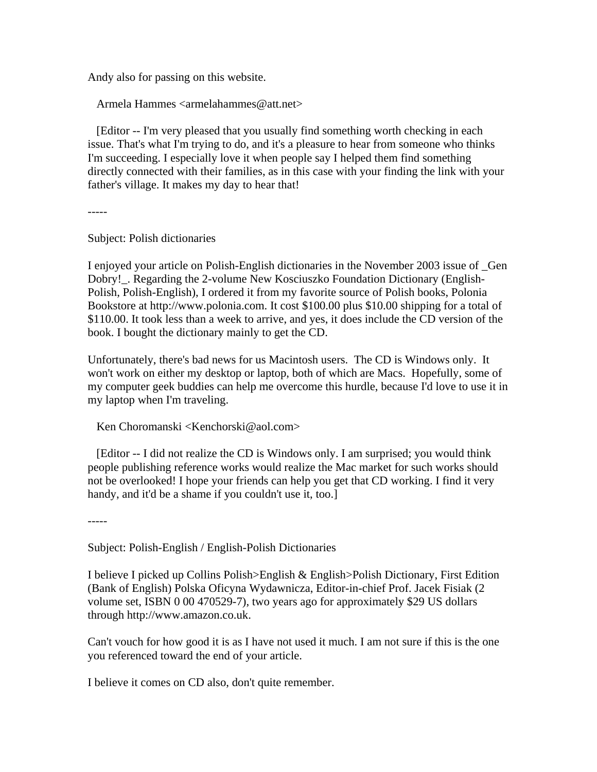Andy also for passing on this website.

Armela Hammes <armelahammes@att.net>

 [Editor -- I'm very pleased that you usually find something worth checking in each issue. That's what I'm trying to do, and it's a pleasure to hear from someone who thinks I'm succeeding. I especially love it when people say I helped them find something directly connected with their families, as in this case with your finding the link with your father's village. It makes my day to hear that!

-----

-----

Subject: Polish dictionaries

I enjoyed your article on Polish-English dictionaries in the November 2003 issue of \_Gen Dobry!\_. Regarding the 2-volume New Kosciuszko Foundation Dictionary (English-Polish, Polish-English), I ordered it from my favorite source of Polish books, Polonia Bookstore at http://www.polonia.com. It cost \$100.00 plus \$10.00 shipping for a total of \$110.00. It took less than a week to arrive, and yes, it does include the CD version of the book. I bought the dictionary mainly to get the CD.

Unfortunately, there's bad news for us Macintosh users. The CD is Windows only. It won't work on either my desktop or laptop, both of which are Macs. Hopefully, some of my computer geek buddies can help me overcome this hurdle, because I'd love to use it in my laptop when I'm traveling.

Ken Choromanski <Kenchorski@aol.com>

 [Editor -- I did not realize the CD is Windows only. I am surprised; you would think people publishing reference works would realize the Mac market for such works should not be overlooked! I hope your friends can help you get that CD working. I find it very handy, and it'd be a shame if you couldn't use it, too.]

Subject: Polish-English / English-Polish Dictionaries

I believe I picked up Collins Polish>English & English>Polish Dictionary, First Edition (Bank of English) Polska Oficyna Wydawnicza, Editor-in-chief Prof. Jacek Fisiak (2 volume set, ISBN 0 00 470529-7), two years ago for approximately \$29 US dollars through http://www.amazon.co.uk.

Can't vouch for how good it is as I have not used it much. I am not sure if this is the one you referenced toward the end of your article.

I believe it comes on CD also, don't quite remember.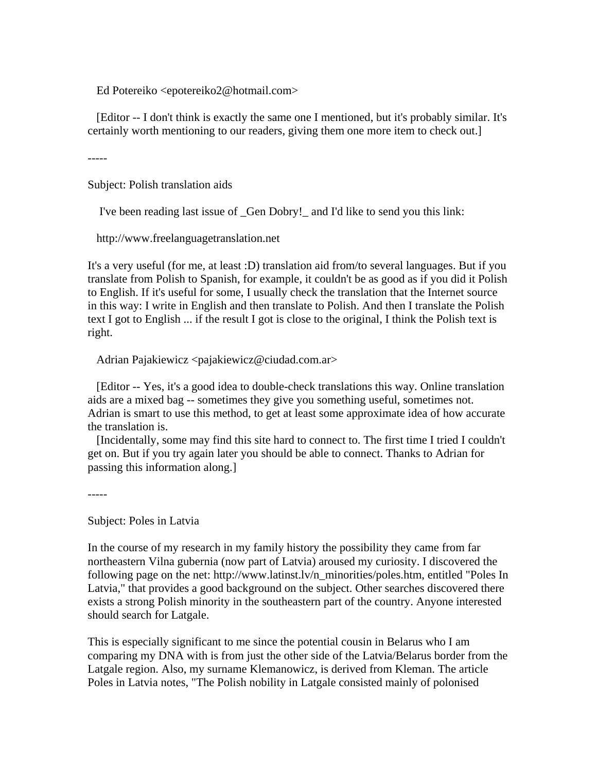Ed Potereiko <epotereiko2@hotmail.com>

 [Editor -- I don't think is exactly the same one I mentioned, but it's probably similar. It's certainly worth mentioning to our readers, giving them one more item to check out.]

-----

Subject: Polish translation aids

I've been reading last issue of \_Gen Dobry!\_ and I'd like to send you this link:

http://www.freelanguagetranslation.net

It's a very useful (for me, at least :D) translation aid from/to several languages. But if you translate from Polish to Spanish, for example, it couldn't be as good as if you did it Polish to English. If it's useful for some, I usually check the translation that the Internet source in this way: I write in English and then translate to Polish. And then I translate the Polish text I got to English ... if the result I got is close to the original, I think the Polish text is right.

Adrian Pajakiewicz <pajakiewicz@ciudad.com.ar>

 [Editor -- Yes, it's a good idea to double-check translations this way. Online translation aids are a mixed bag -- sometimes they give you something useful, sometimes not. Adrian is smart to use this method, to get at least some approximate idea of how accurate the translation is.

 [Incidentally, some may find this site hard to connect to. The first time I tried I couldn't get on. But if you try again later you should be able to connect. Thanks to Adrian for passing this information along.]

-----

Subject: Poles in Latvia

In the course of my research in my family history the possibility they came from far northeastern Vilna gubernia (now part of Latvia) aroused my curiosity. I discovered the following page on the net: http://www.latinst.lv/n\_minorities/poles.htm, entitled "Poles In Latvia," that provides a good background on the subject. Other searches discovered there exists a strong Polish minority in the southeastern part of the country. Anyone interested should search for Latgale.

This is especially significant to me since the potential cousin in Belarus who I am comparing my DNA with is from just the other side of the Latvia/Belarus border from the Latgale region. Also, my surname Klemanowicz, is derived from Kleman. The article Poles in Latvia notes, "The Polish nobility in Latgale consisted mainly of polonised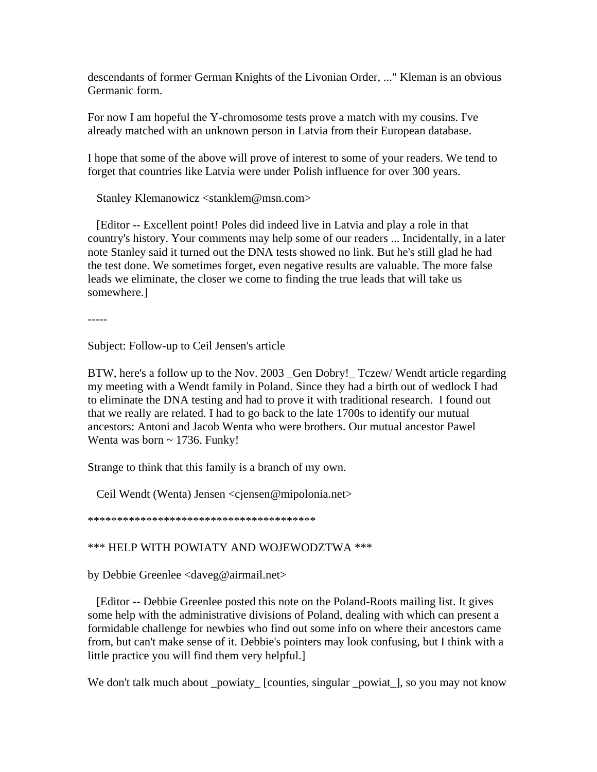descendants of former German Knights of the Livonian Order, ..." Kleman is an obvious Germanic form.

For now I am hopeful the Y-chromosome tests prove a match with my cousins. I've already matched with an unknown person in Latvia from their European database.

I hope that some of the above will prove of interest to some of your readers. We tend to forget that countries like Latvia were under Polish influence for over 300 years.

Stanley Klemanowicz <stanklem@msn.com>

 [Editor -- Excellent point! Poles did indeed live in Latvia and play a role in that country's history. Your comments may help some of our readers ... Incidentally, in a later note Stanley said it turned out the DNA tests showed no link. But he's still glad he had the test done. We sometimes forget, even negative results are valuable. The more false leads we eliminate, the closer we come to finding the true leads that will take us somewhere.]

-----

Subject: Follow-up to Ceil Jensen's article

BTW, here's a follow up to the Nov. 2003 \_Gen Dobry!\_ Tczew/ Wendt article regarding my meeting with a Wendt family in Poland. Since they had a birth out of wedlock I had to eliminate the DNA testing and had to prove it with traditional research. I found out that we really are related. I had to go back to the late 1700s to identify our mutual ancestors: Antoni and Jacob Wenta who were brothers. Our mutual ancestor Pawel Wenta was born ~ 1736. Funky!

Strange to think that this family is a branch of my own.

Ceil Wendt (Wenta) Jensen <cjensen@mipolonia.net>

\*\*\*\*\*\*\*\*\*\*\*\*\*\*\*\*\*\*\*\*\*\*\*\*\*\*\*\*\*\*\*\*\*\*\*\*\*\*\*

# \*\*\* HELP WITH POWIATY AND WOJEWODZTWA \*\*\*

by Debbie Greenlee <daveg@airmail.net>

 [Editor -- Debbie Greenlee posted this note on the Poland-Roots mailing list. It gives some help with the administrative divisions of Poland, dealing with which can present a formidable challenge for newbies who find out some info on where their ancestors came from, but can't make sense of it. Debbie's pointers may look confusing, but I think with a little practice you will find them very helpful.]

We don't talk much about \_powiaty\_ [counties, singular \_powiat\_], so you may not know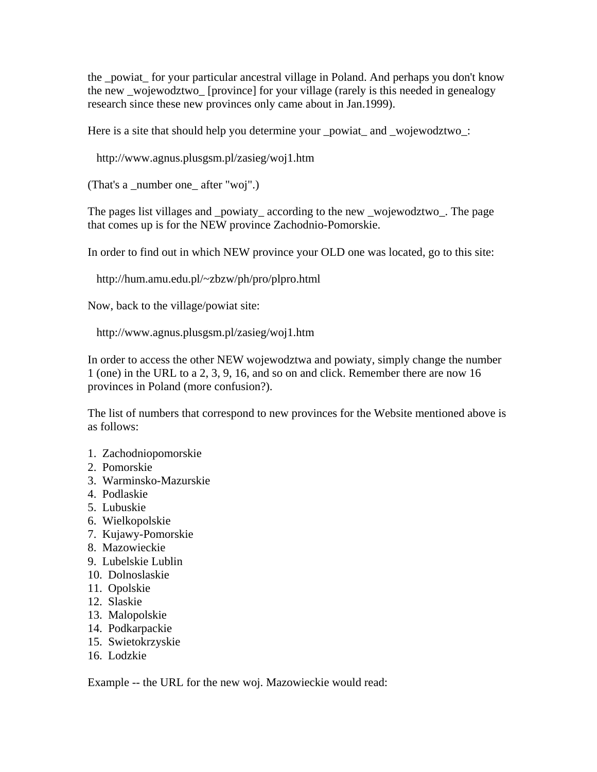the \_powiat\_ for your particular ancestral village in Poland. And perhaps you don't know the new \_wojewodztwo\_ [province] for your village (rarely is this needed in genealogy research since these new provinces only came about in Jan.1999).

Here is a site that should help you determine your powiat and wojewodztwo:

http://www.agnus.plusgsm.pl/zasieg/woj1.htm

(That's a \_number one \_after "woj".)

The pages list villages and \_powiaty\_ according to the new \_wojewodztwo\_. The page that comes up is for the NEW province Zachodnio-Pomorskie.

In order to find out in which NEW province your OLD one was located, go to this site:

http://hum.amu.edu.pl/~zbzw/ph/pro/plpro.html

Now, back to the village/powiat site:

http://www.agnus.plusgsm.pl/zasieg/woj1.htm

In order to access the other NEW wojewodztwa and powiaty, simply change the number 1 (one) in the URL to a 2, 3, 9, 16, and so on and click. Remember there are now 16 provinces in Poland (more confusion?).

The list of numbers that correspond to new provinces for the Website mentioned above is as follows:

- 1. Zachodniopomorskie
- 2. Pomorskie
- 3. Warminsko-Mazurskie
- 4. Podlaskie
- 5. Lubuskie
- 6. Wielkopolskie
- 7. Kujawy-Pomorskie
- 8. Mazowieckie
- 9. Lubelskie Lublin
- 10. Dolnoslaskie
- 11. Opolskie
- 12. Slaskie
- 13. Malopolskie
- 14. Podkarpackie
- 15. Swietokrzyskie
- 16. Lodzkie

Example -- the URL for the new woj. Mazowieckie would read: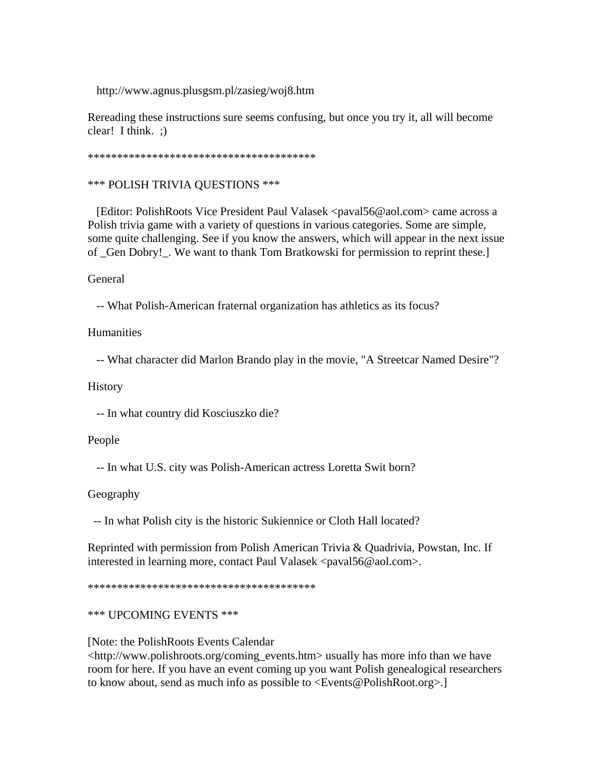http://www.agnus.plusgsm.pl/zasieg/woj8.htm

Rereading these instructions sure seems confusing, but once you try it, all will become clear! I think. ;)

\*\*\*\*\*\*\*\*\*\*\*\*\*\*\*\*\*\*\*\*\*\*\*\*\*\*\*\*\*\*\*\*\*\*\*\*\*\*\*

\*\*\* POLISH TRIVIA QUESTIONS \*\*\*

 [Editor: PolishRoots Vice President Paul Valasek <paval56@aol.com> came across a Polish trivia game with a variety of questions in various categories. Some are simple, some quite challenging. See if you know the answers, which will appear in the next issue of \_Gen Dobry!\_. We want to thank Tom Bratkowski for permission to reprint these.]

General

-- What Polish-American fraternal organization has athletics as its focus?

Humanities

-- What character did Marlon Brando play in the movie, "A Streetcar Named Desire"?

**History** 

-- In what country did Kosciuszko die?

People

-- In what U.S. city was Polish-American actress Loretta Swit born?

Geography

-- In what Polish city is the historic Sukiennice or Cloth Hall located?

Reprinted with permission from Polish American Trivia & Quadrivia, Powstan, Inc. If interested in learning more, contact Paul Valasek <paval56@aol.com>.

\*\*\*\*\*\*\*\*\*\*\*\*\*\*\*\*\*\*\*\*\*\*\*\*\*\*\*\*\*\*\*\*\*\*\*\*\*\*\*

\*\*\* UPCOMING EVENTS \*\*\*

[Note: the PolishRoots Events Calendar

<http://www.polishroots.org/coming\_events.htm> usually has more info than we have room for here. If you have an event coming up you want Polish genealogical researchers to know about, send as much info as possible to <Events@PolishRoot.org>.]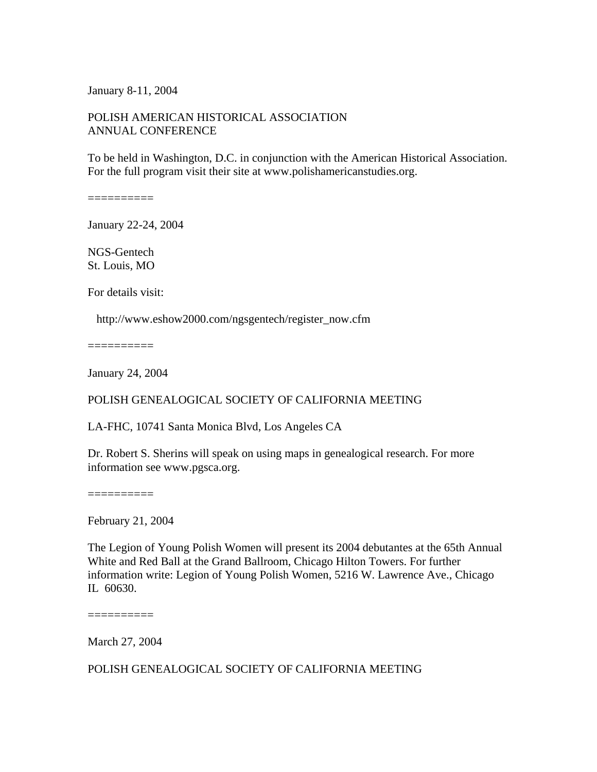January 8-11, 2004

## POLISH AMERICAN HISTORICAL ASSOCIATION ANNUAL CONFERENCE

To be held in Washington, D.C. in conjunction with the American Historical Association. For the full program visit their site at www.polishamericanstudies.org.

==========

January 22-24, 2004

NGS-Gentech St. Louis, MO

For details visit:

http://www.eshow2000.com/ngsgentech/register\_now.cfm

 $=$ =========

January 24, 2004

#### POLISH GENEALOGICAL SOCIETY OF CALIFORNIA MEETING

LA-FHC, 10741 Santa Monica Blvd, Los Angeles CA

Dr. Robert S. Sherins will speak on using maps in genealogical research. For more information see www.pgsca.org.

==========

February 21, 2004

The Legion of Young Polish Women will present its 2004 debutantes at the 65th Annual White and Red Ball at the Grand Ballroom, Chicago Hilton Towers. For further information write: Legion of Young Polish Women, 5216 W. Lawrence Ave., Chicago IL 60630.

==========

March 27, 2004

POLISH GENEALOGICAL SOCIETY OF CALIFORNIA MEETING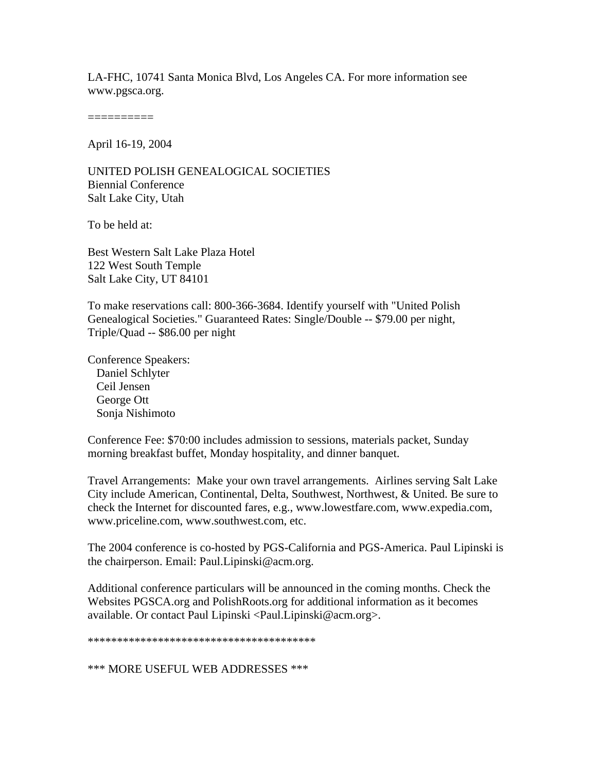LA-FHC, 10741 Santa Monica Blvd, Los Angeles CA. For more information see www.pgsca.org.

==========

April 16-19, 2004

UNITED POLISH GENEALOGICAL SOCIETIES Biennial Conference Salt Lake City, Utah

To be held at:

Best Western Salt Lake Plaza Hotel 122 West South Temple Salt Lake City, UT 84101

To make reservations call: 800-366-3684. Identify yourself with "United Polish Genealogical Societies." Guaranteed Rates: Single/Double -- \$79.00 per night, Triple/Quad -- \$86.00 per night

Conference Speakers: Daniel Schlyter Ceil Jensen George Ott Sonja Nishimoto

Conference Fee: \$70:00 includes admission to sessions, materials packet, Sunday morning breakfast buffet, Monday hospitality, and dinner banquet.

Travel Arrangements: Make your own travel arrangements. Airlines serving Salt Lake City include American, Continental, Delta, Southwest, Northwest, & United. Be sure to check the Internet for discounted fares, e.g., www.lowestfare.com, www.expedia.com, www.priceline.com, www.southwest.com, etc.

The 2004 conference is co-hosted by PGS-California and PGS-America. Paul Lipinski is the chairperson. Email: Paul.Lipinski@acm.org.

Additional conference particulars will be announced in the coming months. Check the Websites PGSCA.org and PolishRoots.org for additional information as it becomes available. Or contact Paul Lipinski <Paul.Lipinski@acm.org>.

\*\*\*\*\*\*\*\*\*\*\*\*\*\*\*\*\*\*\*\*\*\*\*\*\*\*\*\*\*\*\*\*\*\*\*\*\*\*\*

\*\*\* MORE USEFUL WEB ADDRESSES \*\*\*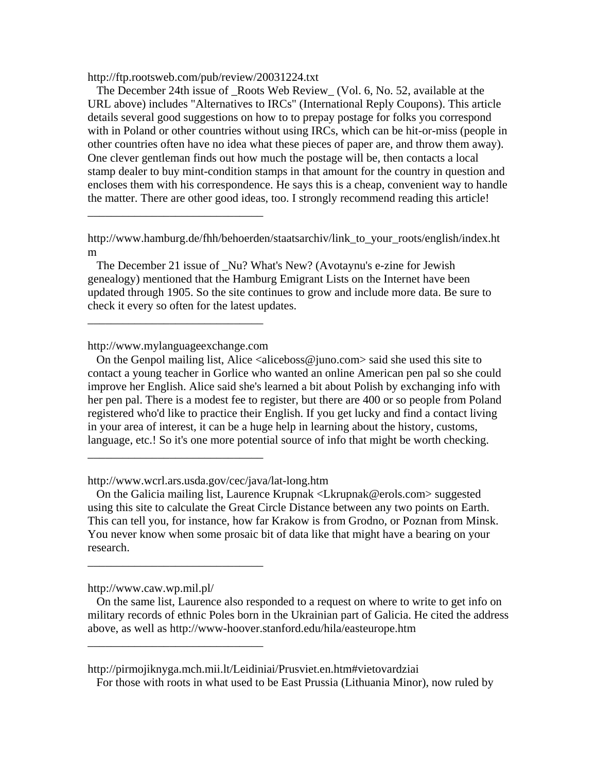http://ftp.rootsweb.com/pub/review/20031224.txt

 The December 24th issue of \_Roots Web Review\_ (Vol. 6, No. 52, available at the URL above) includes "Alternatives to IRCs" (International Reply Coupons). This article details several good suggestions on how to to prepay postage for folks you correspond with in Poland or other countries without using IRCs, which can be hit-or-miss (people in other countries often have no idea what these pieces of paper are, and throw them away). One clever gentleman finds out how much the postage will be, then contacts a local stamp dealer to buy mint-condition stamps in that amount for the country in question and encloses them with his correspondence. He says this is a cheap, convenient way to handle the matter. There are other good ideas, too. I strongly recommend reading this article!

 The December 21 issue of \_Nu? What's New? (Avotaynu's e-zine for Jewish genealogy) mentioned that the Hamburg Emigrant Lists on the Internet have been updated through 1905. So the site continues to grow and include more data. Be sure to check it every so often for the latest updates.

http://www.mylanguageexchange.com

\_\_\_\_\_\_\_\_\_\_\_\_\_\_\_\_\_\_\_\_\_\_\_\_\_\_\_\_\_\_

\_\_\_\_\_\_\_\_\_\_\_\_\_\_\_\_\_\_\_\_\_\_\_\_\_\_\_\_\_\_

\_\_\_\_\_\_\_\_\_\_\_\_\_\_\_\_\_\_\_\_\_\_\_\_\_\_\_\_\_\_

\_\_\_\_\_\_\_\_\_\_\_\_\_\_\_\_\_\_\_\_\_\_\_\_\_\_\_\_\_\_

\_\_\_\_\_\_\_\_\_\_\_\_\_\_\_\_\_\_\_\_\_\_\_\_\_\_\_\_\_\_

On the Genpol mailing list, Alice  $\langle$ aliceboss@juno.com $\rangle$  said she used this site to contact a young teacher in Gorlice who wanted an online American pen pal so she could improve her English. Alice said she's learned a bit about Polish by exchanging info with her pen pal. There is a modest fee to register, but there are 400 or so people from Poland registered who'd like to practice their English. If you get lucky and find a contact living in your area of interest, it can be a huge help in learning about the history, customs, language, etc.! So it's one more potential source of info that might be worth checking.

http://www.wcrl.ars.usda.gov/cec/java/lat-long.htm

 On the Galicia mailing list, Laurence Krupnak <Lkrupnak@erols.com> suggested using this site to calculate the Great Circle Distance between any two points on Earth. This can tell you, for instance, how far Krakow is from Grodno, or Poznan from Minsk. You never know when some prosaic bit of data like that might have a bearing on your research.

http://www.caw.wp.mil.pl/

 On the same list, Laurence also responded to a request on where to write to get info on military records of ethnic Poles born in the Ukrainian part of Galicia. He cited the address above, as well as http://www-hoover.stanford.edu/hila/easteurope.htm

http://pirmojiknyga.mch.mii.lt/Leidiniai/Prusviet.en.htm#vietovardziai

For those with roots in what used to be East Prussia (Lithuania Minor), now ruled by

http://www.hamburg.de/fhh/behoerden/staatsarchiv/link\_to\_your\_roots/english/index.ht m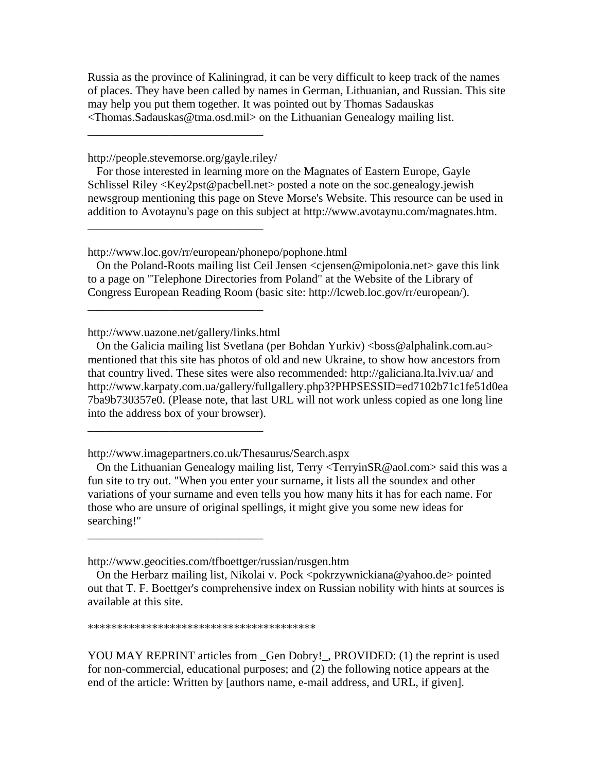Russia as the province of Kaliningrad, it can be very difficult to keep track of the names of places. They have been called by names in German, Lithuanian, and Russian. This site may help you put them together. It was pointed out by Thomas Sadauskas <Thomas.Sadauskas@tma.osd.mil> on the Lithuanian Genealogy mailing list.

http://people.stevemorse.org/gayle.riley/

\_\_\_\_\_\_\_\_\_\_\_\_\_\_\_\_\_\_\_\_\_\_\_\_\_\_\_\_\_\_

\_\_\_\_\_\_\_\_\_\_\_\_\_\_\_\_\_\_\_\_\_\_\_\_\_\_\_\_\_\_

 For those interested in learning more on the Magnates of Eastern Europe, Gayle Schlissel Riley <Key2pst@pacbell.net> posted a note on the soc.genealogy.jewish newsgroup mentioning this page on Steve Morse's Website. This resource can be used in addition to Avotaynu's page on this subject at http://www.avotaynu.com/magnates.htm.

http://www.loc.gov/rr/european/phonepo/pophone.html

On the Poland-Roots mailing list Ceil Jensen <cjensen@mipolonia.net> gave this link to a page on "Telephone Directories from Poland" at the Website of the Library of Congress European Reading Room (basic site: http://lcweb.loc.gov/rr/european/).

http://www.uazone.net/gallery/links.html

\_\_\_\_\_\_\_\_\_\_\_\_\_\_\_\_\_\_\_\_\_\_\_\_\_\_\_\_\_\_

\_\_\_\_\_\_\_\_\_\_\_\_\_\_\_\_\_\_\_\_\_\_\_\_\_\_\_\_\_\_

\_\_\_\_\_\_\_\_\_\_\_\_\_\_\_\_\_\_\_\_\_\_\_\_\_\_\_\_\_\_

On the Galicia mailing list Svetlana (per Bohdan Yurkiv)  $\langle$ boss@alphalink.com.au> mentioned that this site has photos of old and new Ukraine, to show how ancestors from that country lived. These sites were also recommended: http://galiciana.lta.lviv.ua/ and http://www.karpaty.com.ua/gallery/fullgallery.php3?PHPSESSID=ed7102b71c1fe51d0ea 7ba9b730357e0. (Please note, that last URL will not work unless copied as one long line into the address box of your browser).

http://www.imagepartners.co.uk/Thesaurus/Search.aspx

 On the Lithuanian Genealogy mailing list, Terry <TerryinSR@aol.com> said this was a fun site to try out. "When you enter your surname, it lists all the soundex and other variations of your surname and even tells you how many hits it has for each name. For those who are unsure of original spellings, it might give you some new ideas for searching!"

http://www.geocities.com/tfboettger/russian/rusgen.htm

\*\*\*\*\*\*\*\*\*\*\*\*\*\*\*\*\*\*\*\*\*\*\*\*\*\*\*\*\*\*\*\*\*\*\*\*\*\*\*

YOU MAY REPRINT articles from Gen Dobry!, PROVIDED: (1) the reprint is used for non-commercial, educational purposes; and (2) the following notice appears at the end of the article: Written by [authors name, e-mail address, and URL, if given].

On the Herbarz mailing list, Nikolai v. Pock  $\langle \text{pokrzywnickiana}\ \varphi \rangle$  vahoo.de pointed out that T. F. Boettger's comprehensive index on Russian nobility with hints at sources is available at this site.